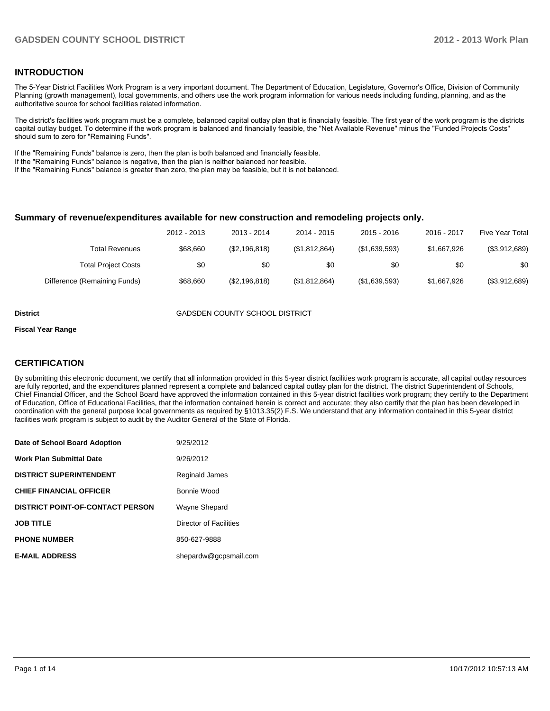#### **INTRODUCTION**

The 5-Year District Facilities Work Program is a very important document. The Department of Education, Legislature, Governor's Office, Division of Community Planning (growth management), local governments, and others use the work program information for various needs including funding, planning, and as the authoritative source for school facilities related information.

The district's facilities work program must be a complete, balanced capital outlay plan that is financially feasible. The first year of the work program is the districts capital outlay budget. To determine if the work program is balanced and financially feasible, the "Net Available Revenue" minus the "Funded Projects Costs" should sum to zero for "Remaining Funds".

If the "Remaining Funds" balance is zero, then the plan is both balanced and financially feasible.

If the "Remaining Funds" balance is negative, then the plan is neither balanced nor feasible.

If the "Remaining Funds" balance is greater than zero, the plan may be feasible, but it is not balanced.

#### **Summary of revenue/expenditures available for new construction and remodeling projects only.**

|                              | 2012 - 2013 | 2013 - 2014   | 2014 - 2015   | $2015 - 2016$ | 2016 - 2017 | Five Year Total |
|------------------------------|-------------|---------------|---------------|---------------|-------------|-----------------|
| Total Revenues               | \$68,660    | (\$2,196,818) | (\$1,812,864) | (\$1,639,593) | \$1,667,926 | (\$3,912,689)   |
| <b>Total Project Costs</b>   | \$0         | \$0           | \$0           | \$0           | \$0         | \$0             |
| Difference (Remaining Funds) | \$68,660    | (\$2,196,818) | (\$1,812,864) | (\$1,639,593) | \$1,667,926 | (\$3,912,689)   |

**District** GADSDEN COUNTY SCHOOL DISTRICT

#### **Fiscal Year Range**

#### **CERTIFICATION**

By submitting this electronic document, we certify that all information provided in this 5-year district facilities work program is accurate, all capital outlay resources are fully reported, and the expenditures planned represent a complete and balanced capital outlay plan for the district. The district Superintendent of Schools, Chief Financial Officer, and the School Board have approved the information contained in this 5-year district facilities work program; they certify to the Department of Education, Office of Educational Facilities, that the information contained herein is correct and accurate; they also certify that the plan has been developed in coordination with the general purpose local governments as required by §1013.35(2) F.S. We understand that any information contained in this 5-year district facilities work program is subject to audit by the Auditor General of the State of Florida.

| Date of School Board Adoption           | 9/25/2012              |
|-----------------------------------------|------------------------|
| <b>Work Plan Submittal Date</b>         | 9/26/2012              |
| <b>DISTRICT SUPERINTENDENT</b>          | Reginald James         |
| <b>CHIEF FINANCIAL OFFICER</b>          | Bonnie Wood            |
| <b>DISTRICT POINT-OF-CONTACT PERSON</b> | Wayne Shepard          |
| <b>JOB TITLE</b>                        | Director of Facilities |
| <b>PHONE NUMBER</b>                     | 850-627-9888           |
| <b>E-MAIL ADDRESS</b>                   | shepardw@gcpsmail.com  |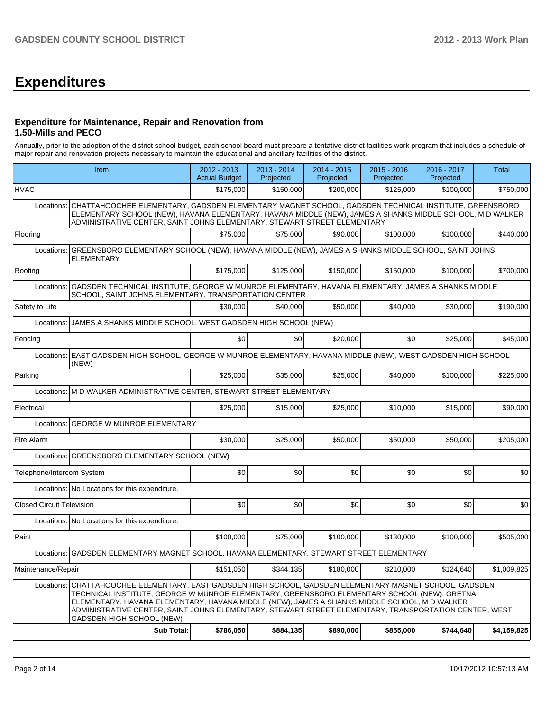# **Expenditures**

#### **Expenditure for Maintenance, Repair and Renovation from 1.50-Mills and PECO**

Annually, prior to the adoption of the district school budget, each school board must prepare a tentative district facilities work program that includes a schedule of major repair and renovation projects necessary to maintain the educational and ancillary facilities of the district.

| <b>HVAC</b><br>Locations:        |                                                                                                                                                                                                                                                                                                                                                                                                                                    | \$175.000 |           |           |           |           |             |  |  |  |
|----------------------------------|------------------------------------------------------------------------------------------------------------------------------------------------------------------------------------------------------------------------------------------------------------------------------------------------------------------------------------------------------------------------------------------------------------------------------------|-----------|-----------|-----------|-----------|-----------|-------------|--|--|--|
|                                  |                                                                                                                                                                                                                                                                                                                                                                                                                                    |           | \$150.000 | \$200.000 | \$125.000 | \$100,000 | \$750,000   |  |  |  |
|                                  | CHATTAHOOCHEE ELEMENTARY, GADSDEN ELEMENTARY MAGNET SCHOOL, GADSDEN TECHNICAL INSTITUTE, GREENSBORO<br>ELEMENTARY SCHOOL (NEW), HAVANA ELEMENTARY, HAVANA MIDDLE (NEW), JAMES A SHANKS MIDDLE SCHOOL, M D WALKER<br>ADMINISTRATIVE CENTER, SAINT JOHNS ELEMENTARY, STEWART STREET ELEMENTARY                                                                                                                                       |           |           |           |           |           |             |  |  |  |
| Flooring                         |                                                                                                                                                                                                                                                                                                                                                                                                                                    | \$75,000  | \$75,000  | \$90,000  | \$100,000 | \$100,000 | \$440,000   |  |  |  |
| Locations:                       | GREENSBORO ELEMENTARY SCHOOL (NEW), HAVANA MIDDLE (NEW), JAMES A SHANKS MIDDLE SCHOOL, SAINT JOHNS<br><b>ELEMENTARY</b>                                                                                                                                                                                                                                                                                                            |           |           |           |           |           |             |  |  |  |
| Roofing                          |                                                                                                                                                                                                                                                                                                                                                                                                                                    | \$175,000 | \$125,000 | \$150,000 | \$150,000 | \$100,000 | \$700,000   |  |  |  |
| Locations:                       | GADSDEN TECHNICAL INSTITUTE, GEORGE W MUNROE ELEMENTARY, HAVANA ELEMENTARY, JAMES A SHANKS MIDDLE<br>SCHOOL, SAINT JOHNS ELEMENTARY, TRANSPORTATION CENTER                                                                                                                                                                                                                                                                         |           |           |           |           |           |             |  |  |  |
| Safety to Life                   |                                                                                                                                                                                                                                                                                                                                                                                                                                    | \$30,000  | \$40,000  | \$50,000  | \$40,000  | \$30,000  | \$190,000   |  |  |  |
| Locations:                       | JAMES A SHANKS MIDDLE SCHOOL, WEST GADSDEN HIGH SCHOOL (NEW)                                                                                                                                                                                                                                                                                                                                                                       |           |           |           |           |           |             |  |  |  |
| Fencing                          |                                                                                                                                                                                                                                                                                                                                                                                                                                    | \$0       | \$0       | \$20,000  | \$0       | \$25,000  | \$45,000    |  |  |  |
| Locations:                       | EAST GADSDEN HIGH SCHOOL, GEORGE W MUNROE ELEMENTARY, HAVANA MIDDLE (NEW), WEST GADSDEN HIGH SCHOOL<br>(NEW)                                                                                                                                                                                                                                                                                                                       |           |           |           |           |           |             |  |  |  |
| Parking                          |                                                                                                                                                                                                                                                                                                                                                                                                                                    | \$25,000  | \$35,000  | \$25,000  | \$40,000  | \$100,000 | \$225.000   |  |  |  |
|                                  | Locations: M D WALKER ADMINISTRATIVE CENTER, STEWART STREET ELEMENTARY                                                                                                                                                                                                                                                                                                                                                             |           |           |           |           |           |             |  |  |  |
| Electrical                       |                                                                                                                                                                                                                                                                                                                                                                                                                                    | \$25,000  | \$15,000  | \$25,000  | \$10,000  | \$15,000  | \$90,000    |  |  |  |
| Locations:                       | <b>GEORGE W MUNROE ELEMENTARY</b>                                                                                                                                                                                                                                                                                                                                                                                                  |           |           |           |           |           |             |  |  |  |
| Fire Alarm                       |                                                                                                                                                                                                                                                                                                                                                                                                                                    | \$30,000  | \$25,000  | \$50,000  | \$50,000  | \$50,000  | \$205,000   |  |  |  |
|                                  | Locations: GREENSBORO ELEMENTARY SCHOOL (NEW)                                                                                                                                                                                                                                                                                                                                                                                      |           |           |           |           |           |             |  |  |  |
| Telephone/Intercom System        |                                                                                                                                                                                                                                                                                                                                                                                                                                    | \$0       | \$0       | \$0       | \$0       | \$0       | \$0         |  |  |  |
|                                  | Locations: No Locations for this expenditure.                                                                                                                                                                                                                                                                                                                                                                                      |           |           |           |           |           |             |  |  |  |
| <b>Closed Circuit Television</b> |                                                                                                                                                                                                                                                                                                                                                                                                                                    | \$0       | \$0       | \$0       | \$0       | \$0       | \$0         |  |  |  |
|                                  | Locations: No Locations for this expenditure.                                                                                                                                                                                                                                                                                                                                                                                      |           |           |           |           |           |             |  |  |  |
| Paint                            |                                                                                                                                                                                                                                                                                                                                                                                                                                    | \$100,000 | \$75,000  | \$100,000 | \$130,000 | \$100,000 | \$505,000   |  |  |  |
| Locations:                       | GADSDEN ELEMENTARY MAGNET SCHOOL, HAVANA ELEMENTARY, STEWART STREET ELEMENTARY                                                                                                                                                                                                                                                                                                                                                     |           |           |           |           |           |             |  |  |  |
| Maintenance/Repair               |                                                                                                                                                                                                                                                                                                                                                                                                                                    | \$151,050 | \$344,135 | \$180,000 | \$210,000 | \$124,640 | \$1,009,825 |  |  |  |
| Locations:                       | CHATTAHOOCHEE ELEMENTARY, EAST GADSDEN HIGH SCHOOL, GADSDEN ELEMENTARY MAGNET SCHOOL, GADSDEN<br>TECHNICAL INSTITUTE, GEORGE W MUNROE ELEMENTARY, GREENSBORO ELEMENTARY SCHOOL (NEW), GRETNA<br>ELEMENTARY, HAVANA ELEMENTARY, HAVANA MIDDLE (NEW), JAMES A SHANKS MIDDLE SCHOOL, M D WALKER<br>ADMINISTRATIVE CENTER, SAINT JOHNS ELEMENTARY, STEWART STREET ELEMENTARY, TRANSPORTATION CENTER, WEST<br>GADSDEN HIGH SCHOOL (NEW) |           |           |           |           |           |             |  |  |  |
|                                  | <b>Sub Total:</b>                                                                                                                                                                                                                                                                                                                                                                                                                  | \$786,050 | \$884,135 | \$890,000 | \$855,000 | \$744,640 | \$4,159,825 |  |  |  |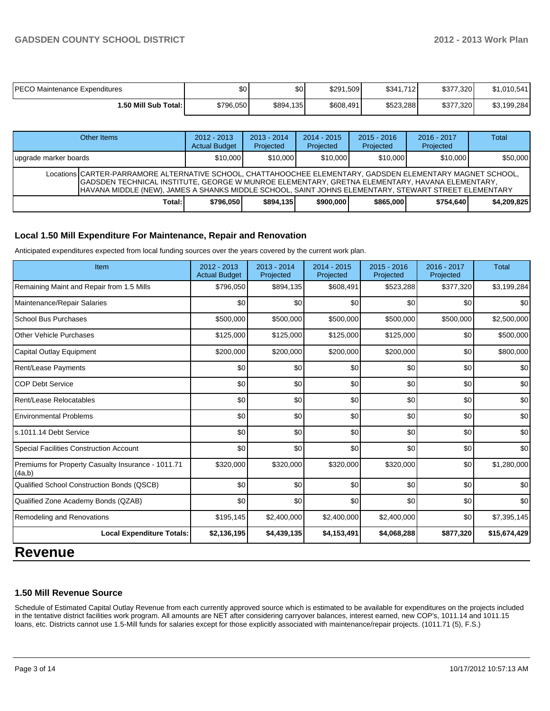| PECO Maintenance Expenditures | \$0       | \$0       | \$291,509 | \$341,712 | \$377,320 | \$1,010,541 |
|-------------------------------|-----------|-----------|-----------|-----------|-----------|-------------|
| <b>1.50 Mill Sub Total:</b> I | \$796,050 | \$894,135 | \$608,491 | \$523,288 | \$377,320 | \$3,199,284 |

| Other Items                                                                                                                                                                                                                                                                                                          | $2012 - 2013$<br><b>Actual Budget</b> | $2013 - 2014$<br>Projected | $2014 - 2015$<br>Projected | $2015 - 2016$<br>Projected | $2016 - 2017$<br>Projected | <b>Total</b> |
|----------------------------------------------------------------------------------------------------------------------------------------------------------------------------------------------------------------------------------------------------------------------------------------------------------------------|---------------------------------------|----------------------------|----------------------------|----------------------------|----------------------------|--------------|
| Jupgrade marker boards                                                                                                                                                                                                                                                                                               | \$10,000                              | \$10,000                   | \$10,000                   | \$10,000                   | \$10,000                   | \$50,000     |
| Locations CARTER-PARRAMORE ALTERNATIVE SCHOOL, CHATTAHOOCHEE ELEMENTARY, GADSDEN ELEMENTARY MAGNET SCHOOL,<br>GADSDEN TECHNICAL INSTITUTE, GEORGE W MUNROE ELEMENTARY, GRETNA ELEMENTARY, HAVANA ELEMENTARY,<br>HAVANA MIDDLE (NEW), JAMES A SHANKS MIDDLE SCHOOL, SAINT JOHNS ELEMENTARY, STEWART STREET ELEMENTARY |                                       |                            |                            |                            |                            |              |
| Total: l                                                                                                                                                                                                                                                                                                             | \$796.050                             | \$894.135                  | \$900,000                  | \$865,000                  | \$754.640                  | \$4,209,825  |

#### **Local 1.50 Mill Expenditure For Maintenance, Repair and Renovation**

Anticipated expenditures expected from local funding sources over the years covered by the current work plan.

| Item                                                         | 2012 - 2013<br><b>Actual Budget</b> | $2013 - 2014$<br>Projected | $2014 - 2015$<br>Projected | $2015 - 2016$<br>Projected | 2016 - 2017<br>Projected | Total        |
|--------------------------------------------------------------|-------------------------------------|----------------------------|----------------------------|----------------------------|--------------------------|--------------|
| Remaining Maint and Repair from 1.5 Mills                    | \$796,050                           | \$894,135                  | \$608,491                  | \$523,288                  | \$377,320                | \$3,199,284  |
| Maintenance/Repair Salaries                                  | \$0                                 | \$0                        | \$0                        | \$0                        | \$0                      | \$0          |
| School Bus Purchases                                         | \$500,000                           | \$500,000                  | \$500,000                  | \$500,000                  | \$500,000                | \$2,500,000  |
| Other Vehicle Purchases                                      | \$125,000                           | \$125,000                  | \$125,000                  | \$125,000                  | \$0                      | \$500,000    |
| Capital Outlay Equipment                                     | \$200,000                           | \$200,000                  | \$200,000                  | \$200,000                  | \$0                      | \$800,000    |
| Rent/Lease Payments                                          | \$0                                 | \$0                        | \$0                        | \$0                        | \$0                      | \$0          |
| <b>COP Debt Service</b>                                      | \$0                                 | \$0                        | \$0                        | \$0                        | \$0                      | \$0          |
| Rent/Lease Relocatables                                      | \$0                                 | \$0                        | \$0                        | \$0                        | \$0                      | \$0          |
| <b>Environmental Problems</b>                                | \$0                                 | \$0                        | \$0                        | \$0                        | \$0                      | \$0          |
| s.1011.14 Debt Service                                       | \$0                                 | \$0                        | \$0                        | \$0                        | \$0                      | \$0          |
| <b>Special Facilities Construction Account</b>               | \$0                                 | \$0                        | \$0                        | \$0                        | \$0                      | \$0          |
| Premiums for Property Casualty Insurance - 1011.71<br>(4a,b) | \$320,000                           | \$320,000                  | \$320,000                  | \$320,000                  | \$0                      | \$1,280,000  |
| Qualified School Construction Bonds (QSCB)                   | \$0                                 | \$0                        | \$0                        | \$0                        | \$0                      | \$0          |
| Qualified Zone Academy Bonds (QZAB)                          | \$0                                 | \$0                        | \$0                        | \$0                        | \$0                      | \$0          |
| Remodeling and Renovations                                   | \$195,145                           | \$2,400,000                | \$2,400,000                | \$2,400,000                | \$0                      | \$7,395,145  |
| <b>Local Expenditure Totals:</b>                             | \$2,136,195                         | \$4,439,135                | \$4,153,491                | \$4,068,288                | \$877,320                | \$15,674,429 |

### **Revenue**

#### **1.50 Mill Revenue Source**

Schedule of Estimated Capital Outlay Revenue from each currently approved source which is estimated to be available for expenditures on the projects included in the tentative district facilities work program. All amounts are NET after considering carryover balances, interest earned, new COP's, 1011.14 and 1011.15 loans, etc. Districts cannot use 1.5-Mill funds for salaries except for those explicitly associated with maintenance/repair projects. (1011.71 (5), F.S.)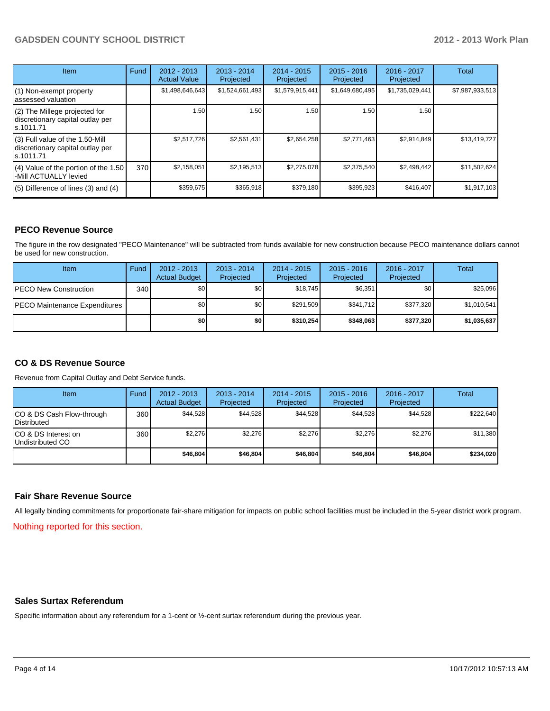#### **GADSDEN COUNTY SCHOOL DISTRICT 2012 - 2013 Work Plan**

| <b>Item</b>                                                                       | Fund | $2012 - 2013$<br><b>Actual Value</b> | $2013 - 2014$<br>Projected | $2014 - 2015$<br>Projected | $2015 - 2016$<br>Projected | 2016 - 2017<br>Projected | Total           |
|-----------------------------------------------------------------------------------|------|--------------------------------------|----------------------------|----------------------------|----------------------------|--------------------------|-----------------|
| (1) Non-exempt property<br>lassessed valuation                                    |      | \$1,498,646,643                      | \$1,524,661,493            | \$1,579,915,441            | \$1,649,680,495            | \$1,735,029,441          | \$7,987,933,513 |
| (2) The Millege projected for<br>discretionary capital outlay per<br>ls.1011.71   |      | 1.50                                 | 1.50                       | 1.50                       | 1.50                       | 1.50                     |                 |
| (3) Full value of the 1.50-Mill<br>discretionary capital outlay per<br>ls.1011.71 |      | \$2.517.726                          | \$2,561,431                | \$2,654,258                | \$2,771,463                | \$2,914,849              | \$13,419,727    |
| (4) Value of the portion of the 1.50<br>-Mill ACTUALLY levied                     | 370  | \$2,158,051                          | \$2,195,513                | \$2,275,078                | \$2,375,540                | \$2,498,442              | \$11,502,624    |
| $(5)$ Difference of lines $(3)$ and $(4)$                                         |      | \$359,675                            | \$365,918                  | \$379,180                  | \$395,923                  | \$416,407                | \$1,917,103     |

#### **PECO Revenue Source**

The figure in the row designated "PECO Maintenance" will be subtracted from funds available for new construction because PECO maintenance dollars cannot be used for new construction.

| Item                                  | Fund | $2012 - 2013$<br><b>Actual Budget</b> | $2013 - 2014$<br>Projected | $2014 - 2015$<br>Projected | $2015 - 2016$<br>Projected | 2016 - 2017<br>Projected | Total       |
|---------------------------------------|------|---------------------------------------|----------------------------|----------------------------|----------------------------|--------------------------|-------------|
| <b>IPECO New Construction</b>         | 340  | \$0                                   | \$0                        | \$18.745                   | \$6,351                    | \$0                      | \$25,096    |
| <b>IPECO Maintenance Expenditures</b> |      | \$0                                   | \$0 I                      | \$291.509                  | \$341.712                  | \$377,320                | \$1,010,541 |
|                                       |      | \$0                                   | \$0                        | \$310.254                  | \$348,063                  | \$377,320                | \$1,035,637 |

#### **CO & DS Revenue Source**

Revenue from Capital Outlay and Debt Service funds.

| Item                                               | Fund             | $2012 - 2013$<br><b>Actual Budget</b> | $2013 - 2014$<br>Projected | $2014 - 2015$<br>Projected | $2015 - 2016$<br>Projected | $2016 - 2017$<br>Projected | Total     |
|----------------------------------------------------|------------------|---------------------------------------|----------------------------|----------------------------|----------------------------|----------------------------|-----------|
| ICO & DS Cash Flow-through<br><b>I</b> Distributed | 360              | \$44.528                              | \$44,528                   | \$44.528                   | \$44,528                   | \$44,528                   | \$222.640 |
| ICO & DS Interest on<br>Undistributed CO           | 360 <sup>I</sup> | \$2.276                               | \$2,276                    | \$2.276                    | \$2.276                    | \$2.276                    | \$11,380  |
|                                                    |                  | \$46,804                              | \$46,804                   | \$46,804                   | \$46,804                   | \$46,804                   | \$234,020 |

#### **Fair Share Revenue Source**

All legally binding commitments for proportionate fair-share mitigation for impacts on public school facilities must be included in the 5-year district work program.

Nothing reported for this section.

#### **Sales Surtax Referendum**

Specific information about any referendum for a 1-cent or ½-cent surtax referendum during the previous year.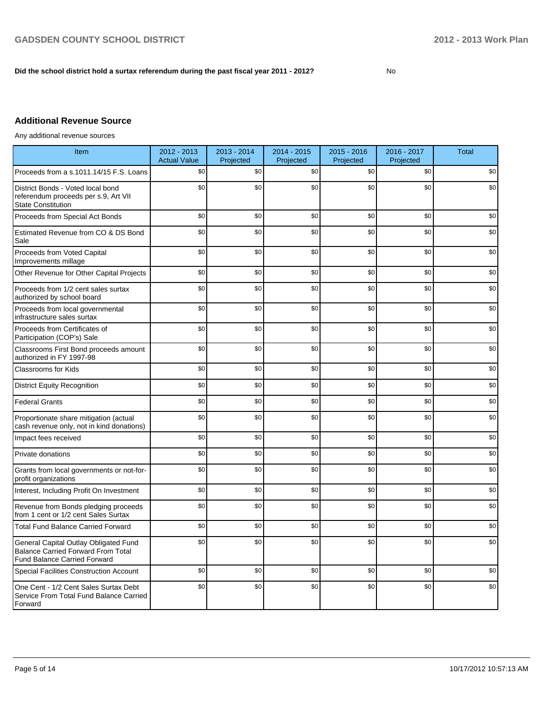#### **Did the school district hold a surtax referendum during the past fiscal year 2011 - 2012?**

No

### **Additional Revenue Source**

Any additional revenue sources

| Item                                                                                                                      | 2012 - 2013<br><b>Actual Value</b> | $2013 - 2014$<br>Projected | 2014 - 2015<br>Projected | $2015 - 2016$<br>Projected | 2016 - 2017<br>Projected | <b>Total</b> |
|---------------------------------------------------------------------------------------------------------------------------|------------------------------------|----------------------------|--------------------------|----------------------------|--------------------------|--------------|
| Proceeds from a s.1011.14/15 F.S. Loans                                                                                   | \$0                                | \$0                        | \$0                      | \$0                        | \$0                      | \$0          |
| District Bonds - Voted local bond<br>referendum proceeds per s.9, Art VII<br><b>State Constitution</b>                    | \$0                                | \$0                        | \$0                      | \$0                        | \$0                      | \$0          |
| Proceeds from Special Act Bonds                                                                                           | \$0                                | \$0                        | \$0                      | \$0                        | \$0                      | \$0          |
| Estimated Revenue from CO & DS Bond<br>Sale                                                                               | \$0                                | \$0                        | \$0                      | \$0                        | \$0                      | \$0          |
| Proceeds from Voted Capital<br>Improvements millage                                                                       | \$0                                | \$0                        | \$0                      | \$0                        | \$0                      | \$0          |
| Other Revenue for Other Capital Projects                                                                                  | \$0                                | \$0                        | \$0                      | \$0                        | \$0                      | \$0          |
| Proceeds from 1/2 cent sales surtax<br>authorized by school board                                                         | \$0                                | \$0                        | \$0                      | \$0                        | \$0                      | \$0          |
| Proceeds from local governmental<br>infrastructure sales surtax                                                           | \$0                                | \$0                        | \$0                      | \$0                        | \$0                      | \$0          |
| Proceeds from Certificates of<br>Participation (COP's) Sale                                                               | \$0                                | \$0                        | \$0                      | \$0                        | \$0                      | \$0          |
| Classrooms First Bond proceeds amount<br>authorized in FY 1997-98                                                         | \$0                                | \$0                        | \$0                      | \$0                        | \$0                      | \$0          |
| <b>Classrooms for Kids</b>                                                                                                | \$0                                | \$0                        | \$0                      | \$0                        | \$0                      | \$0          |
| <b>District Equity Recognition</b>                                                                                        | \$0                                | \$0                        | \$0                      | \$0                        | \$0                      | \$0          |
| <b>Federal Grants</b>                                                                                                     | \$0                                | \$0                        | \$0                      | \$0                        | \$0                      | \$0          |
| Proportionate share mitigation (actual<br>cash revenue only, not in kind donations)                                       | \$0                                | \$0                        | \$0                      | \$0                        | \$0                      | \$0          |
| Impact fees received                                                                                                      | \$0                                | \$0                        | \$0                      | \$0                        | \$0                      | \$0          |
| Private donations                                                                                                         | \$0                                | \$0                        | \$0                      | \$0                        | \$0                      | \$0          |
| Grants from local governments or not-for-<br>profit organizations                                                         | \$0                                | \$0                        | \$0                      | \$0                        | \$0                      | \$0          |
| Interest, Including Profit On Investment                                                                                  | \$0                                | \$0                        | \$0                      | \$0                        | \$0                      | \$0          |
| Revenue from Bonds pledging proceeds<br>from 1 cent or 1/2 cent Sales Surtax                                              | \$0                                | \$0                        | \$0                      | \$0                        | \$0                      | \$0          |
| <b>Total Fund Balance Carried Forward</b>                                                                                 | \$0                                | \$0                        | \$0                      | \$0                        | \$0                      | \$0          |
| General Capital Outlay Obligated Fund<br><b>Balance Carried Forward From Total</b><br><b>Fund Balance Carried Forward</b> | \$0                                | \$0                        | \$0                      | \$0                        | \$0                      | \$0          |
| <b>Special Facilities Construction Account</b>                                                                            | \$0                                | \$0                        | \$0                      | \$0                        | \$0                      | \$0          |
| One Cent - 1/2 Cent Sales Surtax Debt<br>Service From Total Fund Balance Carried<br>Forward                               | \$0                                | \$0                        | \$0                      | \$0                        | \$0                      | \$0          |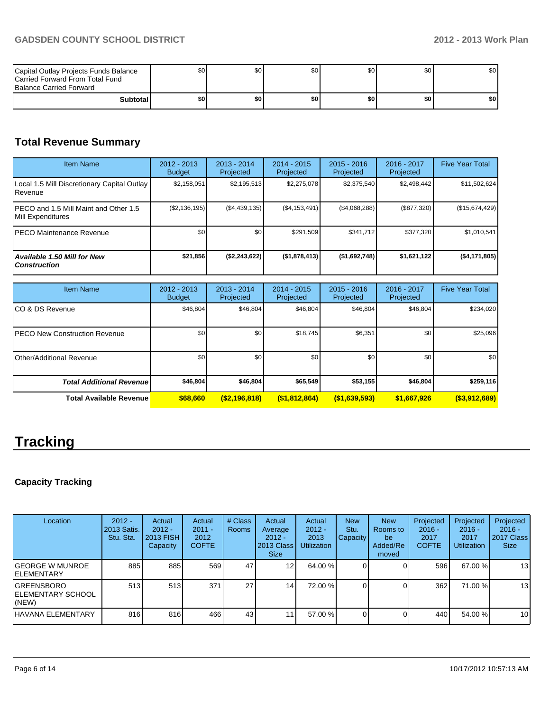| Capital Outlay Projects Funds Balance<br>Carried Forward From Total Fund<br><b>Balance Carried Forward</b> | SO I  | \$0 | \$0 | \$01  | \$0 | \$0 |
|------------------------------------------------------------------------------------------------------------|-------|-----|-----|-------|-----|-----|
| <b>Subtotal</b>                                                                                            | \$0 I | \$0 | \$0 | \$O I | \$0 | \$0 |

# **Total Revenue Summary**

| <b>Item Name</b>                                            | $2012 - 2013$<br><b>Budget</b> | $2013 - 2014$<br>Projected | $2014 - 2015$<br>Projected | $2015 - 2016$<br>Projected | 2016 - 2017<br>Projected | <b>Five Year Total</b> |
|-------------------------------------------------------------|--------------------------------|----------------------------|----------------------------|----------------------------|--------------------------|------------------------|
| Local 1.5 Mill Discretionary Capital Outlay<br>Revenue      | \$2,158,051                    | \$2,195,513                | \$2,275,078                | \$2,375,540                | \$2,498,442              | \$11,502,624           |
| IPECO and 1.5 Mill Maint and Other 1.5<br>Mill Expenditures | (\$2,136,195)                  | (S4, 439, 135)             | (\$4,153,491)              | (S4,068,288)               | (\$877,320)              | (\$15,674,429)         |
| IPECO Maintenance Revenue                                   | \$0 <sub>1</sub>               | \$0                        | \$291,509                  | \$341.712                  | \$377,320                | \$1,010,541            |
| <b>Available 1.50 Mill for New</b><br><b>Construction</b>   | \$21,856                       | (\$2,243,622)              | (\$1,878,413)              | ( \$1,692,748]             | \$1,621,122              | (\$4,171,805)          |

| <b>Item Name</b>                      | 2012 - 2013<br><b>Budget</b> | $2013 - 2014$<br>Projected | $2014 - 2015$<br>Projected | $2015 - 2016$<br>Projected | 2016 - 2017<br>Projected | <b>Five Year Total</b> |
|---------------------------------------|------------------------------|----------------------------|----------------------------|----------------------------|--------------------------|------------------------|
| ICO & DS Revenue                      | \$46,804                     | \$46,804                   | \$46,804                   | \$46,804                   | \$46,804                 | \$234,020              |
| <b>IPECO New Construction Revenue</b> | \$0 <sub>1</sub>             | \$0                        | \$18,745                   | \$6,351                    | \$0                      | \$25,096               |
| IOther/Additional Revenue             | \$0 <sub>1</sub>             | \$0                        | \$0                        | \$0                        | \$0                      | \$0                    |
| <b>Total Additional Revenuel</b>      | \$46,804                     | \$46,804                   | \$65,549                   | \$53,155                   | \$46,804                 | \$259,116              |
| <b>Total Available Revenue</b>        | \$68,660                     | ( \$2,196,818)             | ( \$1,812,864)             | (\$1,639,593)              | \$1,667,926              | $($ \$3,912,689)       |

# **Tracking**

### **Capacity Tracking**

| Location                                   | $2012 -$<br>2013 Satis.<br>Stu. Sta. | Actual<br>$2012 -$<br>2013 FISH<br>Capacity | Actual<br>$2011 -$<br>2012<br><b>COFTE</b> | # Class<br><b>Rooms</b> | Actual<br>Average<br>$2012 -$<br>2013 Class<br><b>Size</b> | Actual<br>$2012 -$<br>2013<br><b>Utilization</b> | <b>New</b><br>Stu.<br>Capacity! | <b>New</b><br>Rooms to<br>be<br>Added/Re<br>moved | Projected<br>$2016 -$<br>2017<br><b>COFTE</b> | Projected<br>$2016 -$<br>2017<br><b>Utilization</b> | Projected<br>$2016 -$<br>2017 Class<br><b>Size</b> |
|--------------------------------------------|--------------------------------------|---------------------------------------------|--------------------------------------------|-------------------------|------------------------------------------------------------|--------------------------------------------------|---------------------------------|---------------------------------------------------|-----------------------------------------------|-----------------------------------------------------|----------------------------------------------------|
| IGEORGE W MUNROE<br>IELEMENTARY            | 885                                  | 885                                         | 569                                        | 47                      | 12 I                                                       | 64.00 %                                          |                                 |                                                   | 596                                           | 67.00 %                                             | 13                                                 |
| IGREENSBORO<br>IELEMENTARY SCHOOL<br>(NEW) | 513                                  | 513                                         | 371                                        | 27                      | 14                                                         | 72.00 %                                          |                                 |                                                   | 362                                           | 71.00 %                                             | 13                                                 |
| IHAVANA ELEMENTARY                         | 816                                  | 816                                         | 466                                        | 43                      | 11                                                         | 57.00 %                                          |                                 |                                                   | 440                                           | 54.00 %                                             | 10                                                 |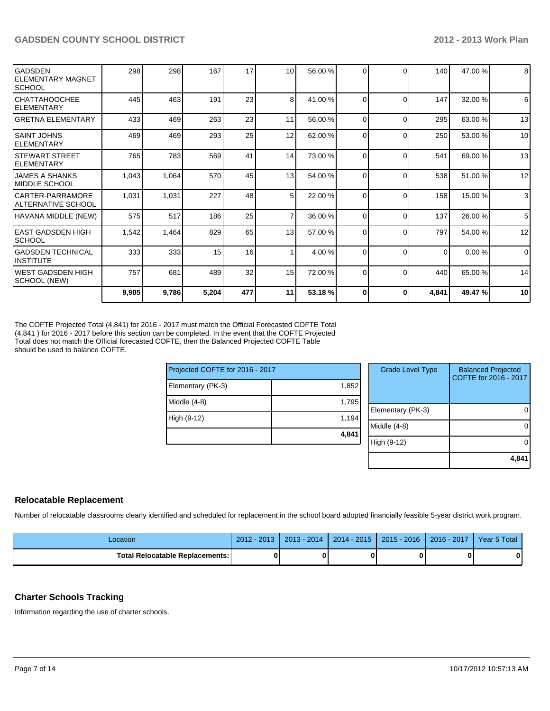| <b>I</b> GADSDEN<br><b>ELEMENTARY MAGNET</b><br><b>SCHOOL</b> | 298   | 298   | 167   | 17  | 10 <sup>1</sup> | 56.00 % | $\Omega$ |          | 140      | 47.00%  | 8               |
|---------------------------------------------------------------|-------|-------|-------|-----|-----------------|---------|----------|----------|----------|---------|-----------------|
| ICHATTAHOOCHEE<br><b>IELEMENTARY</b>                          | 445   | 463   | 191   | 23  | 8 <sup>1</sup>  | 41.00 % | $\Omega$ | ſ        | 147      | 32.00 % | 6               |
| IGRETNA ELEMENTARY                                            | 433   | 469   | 263   | 23  | 11              | 56.00 % | $\Omega$ | 0        | 295      | 63.00 % | 13              |
| ISAINT JOHNS<br><b>IELEMENTARY</b>                            | 469   | 469   | 293   | 25  | 12              | 62.00 % | $\Omega$ | 0        | 250      | 53.00 % | 10              |
| ISTEWART STREET<br><b>ELEMENTARY</b>                          | 765   | 783   | 569   | 41  | 14              | 73.00 % | $\Omega$ | C        | 541      | 69.00 % | 13              |
| <b>JAMES A SHANKS</b><br><b>IMIDDLE SCHOOL</b>                | 1,043 | 1,064 | 570   | 45  | 13              | 54.00 % | $\Omega$ | C        | 538      | 51.00 % | 12              |
| CARTER-PARRAMORE<br>IALTERNATIVE SCHOOL                       | 1,031 | 1,031 | 227   | 48  | 5 <sub>l</sub>  | 22.00 % | $\Omega$ | $\Omega$ | 158      | 15.00 % | $\overline{3}$  |
| HAVANA MIDDLE (NEW)                                           | 575   | 517   | 186   | 25  | $\overline{7}$  | 36.00 % | $\Omega$ | $\Omega$ | 137      | 26.00 % | $5\overline{5}$ |
| <b>IEAST GADSDEN HIGH</b><br><b>SCHOOL</b>                    | 1,542 | 1,464 | 829   | 65  | 13              | 57.00 % | $\Omega$ | $\Omega$ | 797      | 54.00 % | 12              |
| IGADSDEN TECHNICAL<br><b>INSTITUTE</b>                        | 333   | 333   | 15    | 16  |                 | 4.00 %  | $\Omega$ | ſ        | $\Omega$ | 0.00%   | $\overline{0}$  |
| IWEST GADSDEN HIGH<br>SCHOOL (NEW)                            | 757   | 681   | 489   | 32  | 15              | 72.00 % | $\Omega$ | $\Omega$ | 440      | 65.00 % | 14              |
|                                                               | 9,905 | 9,786 | 5,204 | 477 | 11              | 53.18 % | $\bf{0}$ | 0        | 4,841    | 49.47%  | 10              |

The COFTE Projected Total (4,841) for 2016 - 2017 must match the Official Forecasted COFTE Total (4,841 ) for 2016 - 2017 before this section can be completed. In the event that the COFTE Projected Total does not match the Official forecasted COFTE, then the Balanced Projected COFTE Table should be used to balance COFTE.

| Projected COFTE for 2016 - 2017 |       | <b>Grade Level Type</b> |                   | <b>Balanced Projected</b><br>COFTE for 2016 - 2017 |
|---------------------------------|-------|-------------------------|-------------------|----------------------------------------------------|
| Elementary (PK-3)               | 1,852 |                         |                   |                                                    |
| Middle $(4-8)$                  | 1,795 |                         |                   |                                                    |
|                                 |       |                         | Elementary (PK-3) |                                                    |
| High (9-12)                     | 1,194 |                         |                   |                                                    |
|                                 |       |                         | Middle (4-8)      |                                                    |
|                                 | 4,841 |                         |                   |                                                    |
|                                 |       |                         | High (9-12)       |                                                    |
|                                 |       |                         |                   |                                                    |
|                                 |       |                         |                   |                                                    |

#### **Relocatable Replacement**

Number of relocatable classrooms clearly identified and scheduled for replacement in the school board adopted financially feasible 5-year district work program.

| Location                                 | $-201^{\circ}$<br>$2012 -$ | $2013 - 2014$ | $2014 - 2015$ | $2015 - 2016$ | $2016 - 2017$ | Year 5 Total |
|------------------------------------------|----------------------------|---------------|---------------|---------------|---------------|--------------|
| <b>Total Relocatable Replacements: I</b> |                            |               |               |               |               |              |

#### **Charter Schools Tracking**

Information regarding the use of charter schools.

**4,841**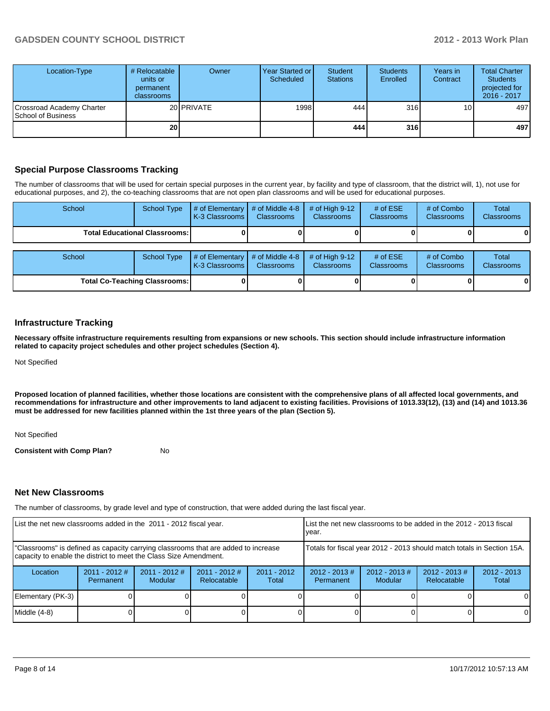#### **GADSDEN COUNTY SCHOOL DISTRICT 2012 - 2013 Work Plan**

| Location-Type                                   | # Relocatable  <br>units or<br>permanent<br>classrooms | Owner             | Year Started or I<br>Scheduled | Student<br><b>Stations</b> | <b>Students</b><br>Enrolled | Years in<br>Contract | <b>Total Charter</b><br><b>Students</b><br>projected for<br>2016 - 2017 |
|-------------------------------------------------|--------------------------------------------------------|-------------------|--------------------------------|----------------------------|-----------------------------|----------------------|-------------------------------------------------------------------------|
| Crossroad Academy Charter<br>School of Business |                                                        | 20 <b>PRIVATE</b> | 1998                           | 444 l                      | 316                         | 10 <sup>1</sup>      | 497                                                                     |
|                                                 | 20 <sub>l</sub>                                        |                   |                                | 444                        | 316                         |                      | 497                                                                     |

#### **Special Purpose Classrooms Tracking**

The number of classrooms that will be used for certain special purposes in the current year, by facility and type of classroom, that the district will, 1), not use for educational purposes, and 2), the co-teaching classrooms that are not open plan classrooms and will be used for educational purposes.

| School                               | <b>School Type</b>                     | $\#$ of Elementary $\#$ of Middle 4-8<br>K-3 Classrooms   | Classrooms        | # of High $9-12$<br><b>Classrooms</b> | # of $ESE$<br><b>Classrooms</b> | # of Combo<br><b>Classrooms</b> | <b>Total</b><br>Classrooms |
|--------------------------------------|----------------------------------------|-----------------------------------------------------------|-------------------|---------------------------------------|---------------------------------|---------------------------------|----------------------------|
|                                      | <b>Total Educational Classrooms: I</b> |                                                           |                   |                                       |                                 |                                 |                            |
| School                               | <b>School Type</b>                     | # of Elementary $\vert$ # of Middle 4-8<br>K-3 Classrooms | <b>Classrooms</b> | # of High $9-12$<br><b>Classrooms</b> | # of $ESE$<br>Classrooms        | # of Combo<br><b>Classrooms</b> | Total<br>Classrooms        |
| <b>Total Co-Teaching Classrooms:</b> |                                        |                                                           |                   |                                       |                                 |                                 |                            |

#### **Infrastructure Tracking**

**Necessary offsite infrastructure requirements resulting from expansions or new schools. This section should include infrastructure information related to capacity project schedules and other project schedules (Section 4).**

Not Specified

**Proposed location of planned facilities, whether those locations are consistent with the comprehensive plans of all affected local governments, and recommendations for infrastructure and other improvements to land adjacent to existing facilities. Provisions of 1013.33(12), (13) and (14) and 1013.36 must be addressed for new facilities planned within the 1st three years of the plan (Section 5).**

Not Specified

**Consistent with Comp Plan?** No

#### **Net New Classrooms**

The number of classrooms, by grade level and type of construction, that were added during the last fiscal year.

| List the net new classrooms added in the 2011 - 2012 fiscal year.                                                                                       | Llist the net new classrooms to be added in the 2012 - 2013 fiscal<br>Ivear. |                                   |                                                                        |                        |                              |                            |                                |                        |
|---------------------------------------------------------------------------------------------------------------------------------------------------------|------------------------------------------------------------------------------|-----------------------------------|------------------------------------------------------------------------|------------------------|------------------------------|----------------------------|--------------------------------|------------------------|
| "Classrooms" is defined as capacity carrying classrooms that are added to increase<br>capacity to enable the district to meet the Class Size Amendment. |                                                                              |                                   | Totals for fiscal year 2012 - 2013 should match totals in Section 15A. |                        |                              |                            |                                |                        |
| Location                                                                                                                                                | $2011 - 2012$ #<br>Permanent                                                 | $2011 - 2012$ #<br><b>Modular</b> | $2011 - 2012$ #<br>Relocatable                                         | $2011 - 2012$<br>Total | $2012 - 2013$ #<br>Permanent | $2012 - 2013$ #<br>Modular | $2012 - 2013$ #<br>Relocatable | $2012 - 2013$<br>Total |
| Elementary (PK-3)                                                                                                                                       |                                                                              |                                   |                                                                        |                        |                              |                            |                                | $\Omega$               |
| Middle (4-8)                                                                                                                                            |                                                                              |                                   |                                                                        |                        |                              |                            |                                | $\Omega$               |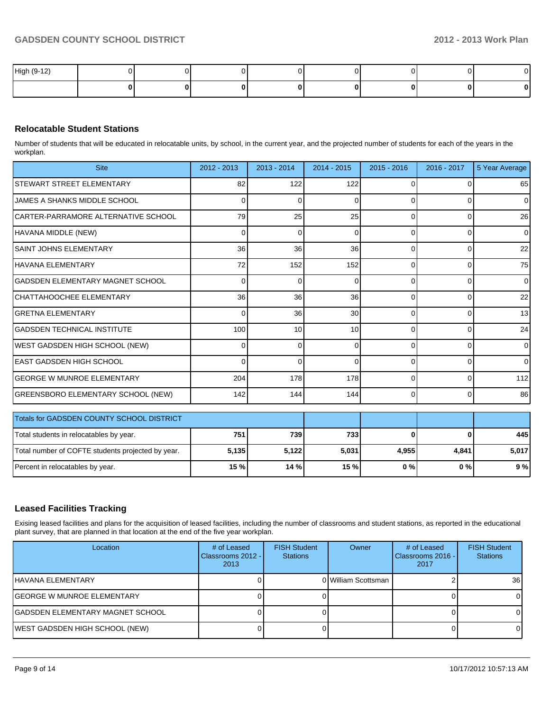| High (9-12) |  |  |  |  |
|-------------|--|--|--|--|
|             |  |  |  |  |

#### **Relocatable Student Stations**

Number of students that will be educated in relocatable units, by school, in the current year, and the projected number of students for each of the years in the workplan.

| <b>Site</b>                                       | $2012 - 2013$   | $2013 - 2014$ | 2014 - 2015     | $2015 - 2016$ | 2016 - 2017 | 5 Year Average |
|---------------------------------------------------|-----------------|---------------|-----------------|---------------|-------------|----------------|
| STEWART STREET ELEMENTARY                         | 82              | 122           | 122             | <sup>0</sup>  | $\Omega$    | 65             |
| JAMES A SHANKS MIDDLE SCHOOL                      | 0               | 0             | O               | ∩             | $\Omega$    | $\Omega$       |
| CARTER-PARRAMORE ALTERNATIVE SCHOOL               | 79              | 25            | 25              | $\Omega$      | $\Omega$    | 26             |
| HAVANA MIDDLE (NEW)                               | ΩI              | $\Omega$      | 0               | $\Omega$      | $\Omega$    | $\Omega$       |
| <b>SAINT JOHNS ELEMENTARY</b>                     | 36              | 36            | 36              | $\Omega$      | $\Omega$    | 22             |
| <b>HAVANA ELEMENTARY</b>                          | 72              | 152           | 152             | $\Omega$      | $\Omega$    | 75             |
| IGADSDEN ELEMENTARY MAGNET SCHOOL                 | 0               | $\Omega$      | 0               | $\Omega$      | $\Omega$    | $\Omega$       |
| CHATTAHOOCHEE ELEMENTARY                          | 36              | 36            | 36              | $\Omega$      | $\Omega$    | 22             |
| İGRETNA ELEMENTARY                                | 0               | 36            | 30              | $\Omega$      | $\Omega$    | 13             |
| <b>GADSDEN TECHNICAL INSTITUTE</b>                | 100             | 10            | 10 <sup>1</sup> | 0             | $\Omega$    | 24             |
| WEST GADSDEN HIGH SCHOOL (NEW)                    | 0               | $\Omega$      | 0               | $\Omega$      | $\Omega$    | $\overline{0}$ |
| IEAST GADSDEN HIGH SCHOOL                         | 0               | $\Omega$      | U               | $\Omega$      | $\Omega$    | $\overline{0}$ |
| <b>GEORGE W MUNROE ELEMENTARY</b>                 | 204             | 178           | 178             | $\Omega$      | $\Omega$    | 112            |
| <b>GREENSBORO ELEMENTARY SCHOOL (NEW)</b>         | 142             | 144           | 144             | $\Omega$      | $\Omega$    | 86             |
| Totals for GADSDEN COUNTY SCHOOL DISTRICT         |                 |               |                 |               |             |                |
| Total students in relocatables by year.           | 751             | 739           | 733             | $\bf{0}$      | $\Omega$    | 445            |
| Total number of COFTE students projected by year. | 5,135           | 5,122         | 5,031           | 4,955         | 4,841       | 5,017          |
| Percent in relocatables by year.                  | 15 <sub>%</sub> | 14 %          | 15 %            | 0%            | 0%          | 9%             |

#### **Leased Facilities Tracking**

Exising leased facilities and plans for the acquisition of leased facilities, including the number of classrooms and student stations, as reported in the educational plant survey, that are planned in that location at the end of the five year workplan.

| Location                          | # of Leased<br>Classrooms 2012 - I<br>2013 | <b>FISH Student</b><br><b>Stations</b> | Owner               | # of Leased<br>Classrooms 2016 - I<br>2017 | <b>FISH Student</b><br><b>Stations</b> |
|-----------------------------------|--------------------------------------------|----------------------------------------|---------------------|--------------------------------------------|----------------------------------------|
| lHAVANA ELEMENTARY                |                                            |                                        | 0 William Scottsman |                                            | 36                                     |
| IGEORGE W MUNROE ELEMENTARY       |                                            |                                        |                     |                                            |                                        |
| IGADSDEN ELEMENTARY MAGNET SCHOOL |                                            |                                        |                     |                                            |                                        |
| WEST GADSDEN HIGH SCHOOL (NEW)    |                                            |                                        |                     |                                            |                                        |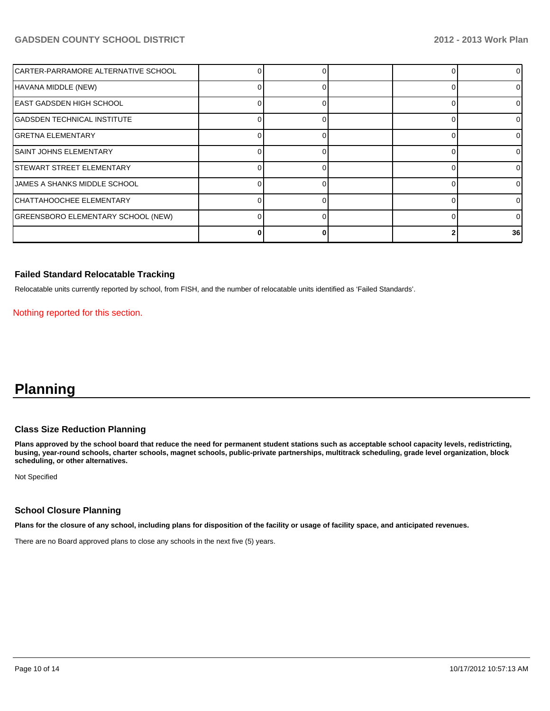#### **GADSDEN COUNTY SCHOOL DISTRICT 2012 - 2013 Work Plan**

| CARTER-PARRAMORE ALTERNATIVE SCHOOL |  |  | ΩI              |
|-------------------------------------|--|--|-----------------|
| HAVANA MIDDLE (NEW)                 |  |  | 01              |
| EAST GADSDEN HIGH SCHOOL            |  |  | ΩI              |
| <b>GADSDEN TECHNICAL INSTITUTE</b>  |  |  | ΩI              |
| <b>GRETNA ELEMENTARY</b>            |  |  | 01              |
| <b>SAINT JOHNS ELEMENTARY</b>       |  |  | ΩI              |
| <b>STEWART STREET ELEMENTARY</b>    |  |  | ΟI              |
| JAMES A SHANKS MIDDLE SCHOOL        |  |  | ΩI              |
| CHATTAHOOCHEE ELEMENTARY            |  |  | 01              |
| GREENSBORO ELEMENTARY SCHOOL (NEW)  |  |  | 01              |
|                                     |  |  | 36 <sup>1</sup> |

#### **Failed Standard Relocatable Tracking**

Relocatable units currently reported by school, from FISH, and the number of relocatable units identified as 'Failed Standards'.

Nothing reported for this section.

## **Planning**

#### **Class Size Reduction Planning**

**Plans approved by the school board that reduce the need for permanent student stations such as acceptable school capacity levels, redistricting, busing, year-round schools, charter schools, magnet schools, public-private partnerships, multitrack scheduling, grade level organization, block scheduling, or other alternatives.**

Not Specified

#### **School Closure Planning**

**Plans for the closure of any school, including plans for disposition of the facility or usage of facility space, and anticipated revenues.**

There are no Board approved plans to close any schools in the next five (5) years.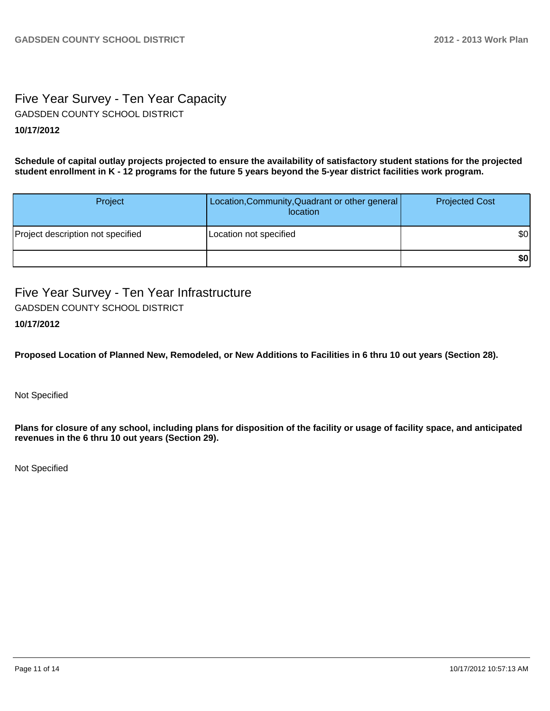## Five Year Survey - Ten Year Capacity GADSDEN COUNTY SCHOOL DISTRICT

#### **10/17/2012**

**Schedule of capital outlay projects projected to ensure the availability of satisfactory student stations for the projected student enrollment in K - 12 programs for the future 5 years beyond the 5-year district facilities work program.**

| Project                           | Location, Community, Quadrant or other general<br>location | <b>Projected Cost</b> |
|-----------------------------------|------------------------------------------------------------|-----------------------|
| Project description not specified | Location not specified                                     | \$0                   |
|                                   |                                                            | \$0                   |

Five Year Survey - Ten Year Infrastructure GADSDEN COUNTY SCHOOL DISTRICT

#### **10/17/2012**

**Proposed Location of Planned New, Remodeled, or New Additions to Facilities in 6 thru 10 out years (Section 28).**

Not Specified

**Plans for closure of any school, including plans for disposition of the facility or usage of facility space, and anticipated revenues in the 6 thru 10 out years (Section 29).**

Not Specified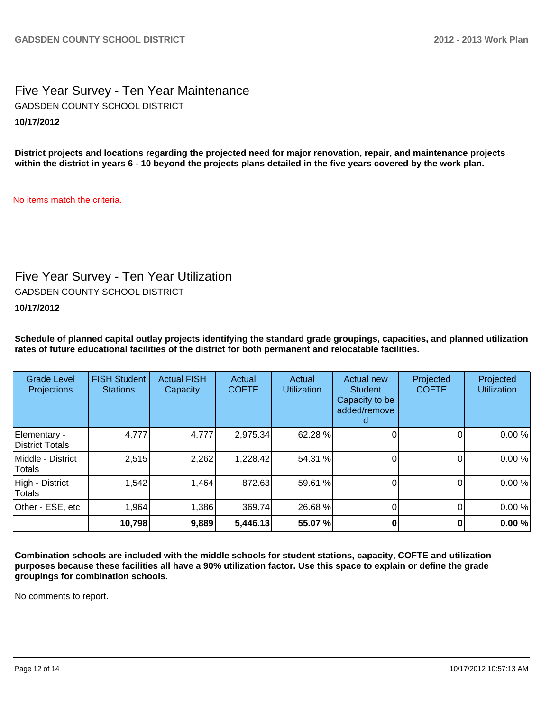Five Year Survey - Ten Year Maintenance **10/17/2012** GADSDEN COUNTY SCHOOL DISTRICT

**District projects and locations regarding the projected need for major renovation, repair, and maintenance projects within the district in years 6 - 10 beyond the projects plans detailed in the five years covered by the work plan.**

No items match the criteria.

## Five Year Survey - Ten Year Utilization

GADSDEN COUNTY SCHOOL DISTRICT

#### **10/17/2012**

**Schedule of planned capital outlay projects identifying the standard grade groupings, capacities, and planned utilization rates of future educational facilities of the district for both permanent and relocatable facilities.**

| <b>Grade Level</b><br>Projections | <b>FISH Student</b><br><b>Stations</b> | <b>Actual FISH</b><br>Capacity | Actual<br><b>COFTE</b> | Actual<br><b>Utilization</b> | Actual new<br><b>Student</b><br>Capacity to be<br>added/remove | Projected<br><b>COFTE</b> | Projected<br><b>Utilization</b> |
|-----------------------------------|----------------------------------------|--------------------------------|------------------------|------------------------------|----------------------------------------------------------------|---------------------------|---------------------------------|
| Elementary -<br>District Totals   | 4,777                                  | 4,777                          | 2,975.34               | 62.28 %                      |                                                                |                           | 0.00%                           |
| Middle - District<br>Totals       | 2,515                                  | 2,262                          | 1,228.42               | 54.31 %                      |                                                                |                           | 0.00%                           |
| High - District<br>Totals         | 1,542                                  | 1,464                          | 872.63                 | 59.61 %                      |                                                                |                           | 0.00%                           |
| Other - ESE, etc                  | 1,964                                  | 1,386                          | 369.74                 | 26.68 %                      |                                                                |                           | 0.00%                           |
|                                   | 10,798                                 | 9,889                          | 5,446.13               | 55.07 %                      |                                                                |                           | 0.00%                           |

**Combination schools are included with the middle schools for student stations, capacity, COFTE and utilization purposes because these facilities all have a 90% utilization factor. Use this space to explain or define the grade groupings for combination schools.**

No comments to report.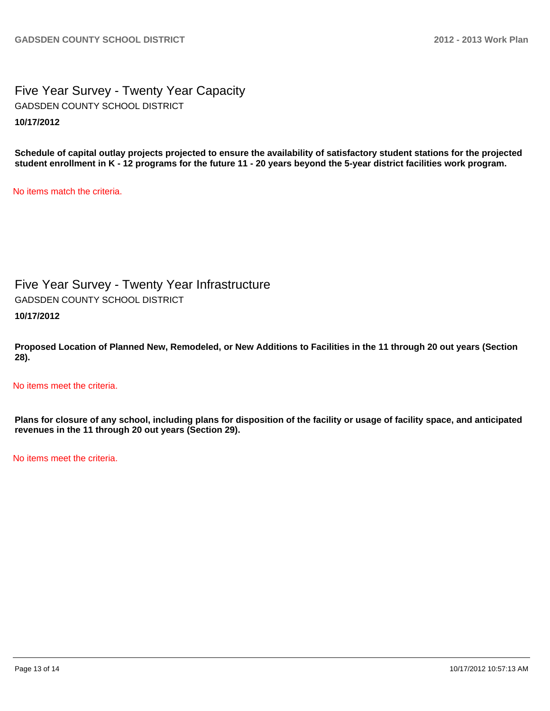Five Year Survey - Twenty Year Capacity **10/17/2012** GADSDEN COUNTY SCHOOL DISTRICT

**Schedule of capital outlay projects projected to ensure the availability of satisfactory student stations for the projected student enrollment in K - 12 programs for the future 11 - 20 years beyond the 5-year district facilities work program.**

No items match the criteria.

Five Year Survey - Twenty Year Infrastructure **10/17/2012** GADSDEN COUNTY SCHOOL DISTRICT

**Proposed Location of Planned New, Remodeled, or New Additions to Facilities in the 11 through 20 out years (Section 28).**

No items meet the criteria.

**Plans for closure of any school, including plans for disposition of the facility or usage of facility space, and anticipated revenues in the 11 through 20 out years (Section 29).**

No items meet the criteria.